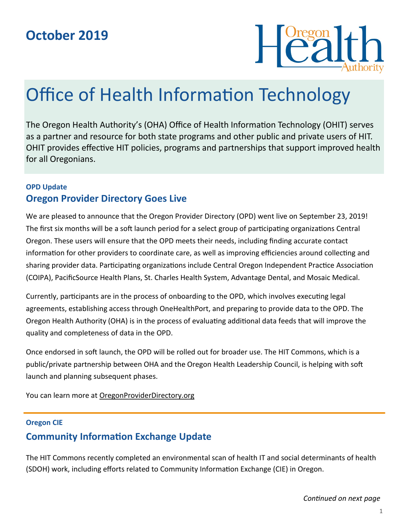

# Office of Health Information Technology

The Oregon Health Authority's (OHA) Office of Health Information Technology (OHIT) serves as a partner and resource for both state programs and other public and private users of HIT. OHIT provides effective HIT policies, programs and partnerships that support improved health for all Oregonians.

### **OPD Update Oregon Provider Directory Goes Live**

We are pleased to announce that the Oregon Provider Directory (OPD) went live on September 23, 2019! The first six months will be a soft launch period for a select group of participating organizations Central Oregon. These users will ensure that the OPD meets their needs, including finding accurate contact information for other providers to coordinate care, as well as improving efficiencies around collecting and sharing provider data. Participating organizations include Central Oregon Independent Practice Association (COIPA), PacificSource Health Plans, St. Charles Health System, Advantage Dental, and Mosaic Medical.

Currently, participants are in the process of onboarding to the OPD, which involves executing legal agreements, establishing access through OneHealthPort, and preparing to provide data to the OPD. The Oregon Health Authority (OHA) is in the process of evaluating additional data feeds that will improve the quality and completeness of data in the OPD.

Once endorsed in soft launch, the OPD will be rolled out for broader use. The HIT Commons, which is a public/private partnership between OHA and the Oregon Health Leadership Council, is helping with soft launch and planning subsequent phases.

You can learn more at [OregonProviderDirectory.org](https://www.oregon.gov/oha/hpa/ohit/pages/pd-overview.aspx)

### **Oregon CIE**

## **Community Information Exchange Update**

The HIT Commons recently completed an environmental scan of health IT and social determinants of health (SDOH) work, including efforts related to Community Information Exchange (CIE) in Oregon.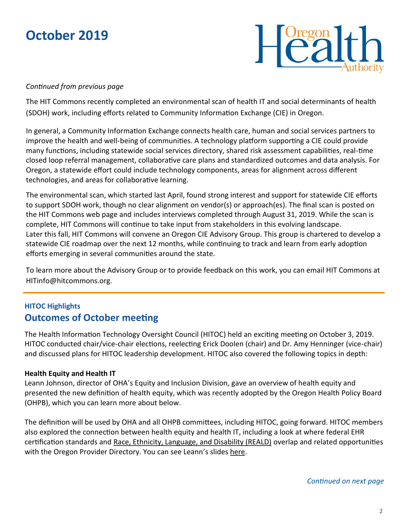

#### *Continued from previous page*

The HIT Commons recently completed an environmental scan of health IT and social determinants of health (SDOH) work, including efforts related to Community Information Exchange (CIE) in Oregon.

In general, a Community Information Exchange connects health care, human and social services partners to improve the health and well-being of communities. A technology platform supporting a CIE could provide many functions, including statewide social services directory, shared risk assessment capabilities, real-time closed loop referral management, collaborative care plans and standardized outcomes and data analysis. For Oregon, a statewide effort could include technology components, areas for alignment across different technologies, and areas for collaborative learning.

The environmental scan, which started last April, found strong interest and support for statewide CIE efforts to support SDOH work, though no clear alignment on vendor(s) or approach(es). The final scan is posted on the [HIT Commons web page a](http://www.orhealthleadershipcouncil.org/hit-commons/)nd includes interviews completed through August 31, 2019. While the scan is complete, HIT Commons will continue to take input from stakeholders in this evolving landscape. Later this fall, HIT Commons will convene an Oregon CIE Advisory Group. This group is chartered to develop a statewide CIE roadmap over the next 12 months, while continuing to track and learn from early adoption efforts emerging in several communities around the state.

To learn more about the Advisory Group or to provide feedback on this work, you can email HIT Commons at HITinfo@hitcommons.org.

# **HITOC Highlights Outcomes of October meeting**

The Health Information Technology Oversight Council (HITOC) held an exciting meeting on October 3, 2019. HITOC conducted chair/vice-chair elections, reelecting Erick Doolen (chair) and Dr. Amy Henninger (vice-chair) and discussed plans for HITOC leadership development. HITOC also covered the following topics in depth:

### **Health Equity and Health IT**

Leann Johnson, director of OHA's Equity and Inclusion Division, gave an overview of health equity and presented the new definition of health equity, which was recently adopted by the Oregon Health Policy Board (OHPB), which you can learn more about below.

The definition will be used by OHA and all OHPB committees, including HITOC, going forward. HITOC members also explored the connection between health equity and health IT, including a look at where federal EHR certification standards and [Race, Ethnicity, Language, and Disability \(REALD\)](https://www.oregon.gov/oha/OEI/Pages/REALD-Temp-Page.aspx) overlap and related opportunities with the Oregon Provider Directory. You can see Leann's slides [here.](https://www.oregon.gov/oha/OEI/HECMeetingDocs/Health%20Equity%20Definition_October%202019%20HEC%20Presentation%20to%20OHPB.pdf)

*Continued on next page*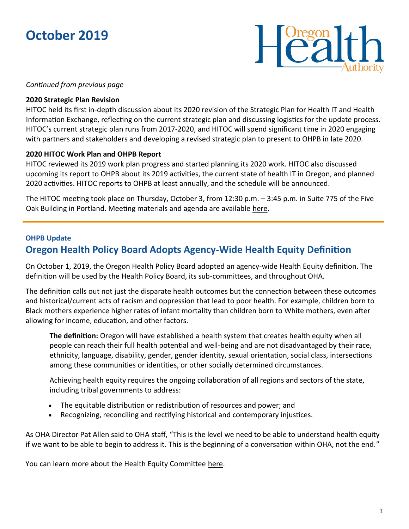

#### *Continued from previous page*

#### **2020 Strategic Plan Revision**

HITOC held its first in-depth discussion about its 2020 revision of the Strategic Plan for Health IT and Health Information Exchange, reflecting on the current strategic plan and discussing logistics for the update process. HITOC's current strategic plan runs from 2017-2020, and HITOC will spend significant time in 2020 engaging with partners and stakeholders and developing a revised strategic plan to present to OHPB in late 2020.

#### **2020 HITOC Work Plan and OHPB Report**

HITOC reviewed its 2019 work plan progress and started planning its 2020 work. HITOC also discussed upcoming its report to OHPB about its 2019 activities, the current state of health IT in Oregon, and planned 2020 activities. HITOC reports to OHPB at least annually, and the schedule will be announced.

The HITOC meeting took place on Thursday, October 3, from 12:30 p.m. – 3:45 p.m. in Suite 775 of the Five Oak Building in Portland. Meeting materials and agenda are available [here.](https://www.oregon.gov/oha/HPA/OHIT-HITOC/Pages/HITOC-Meetings.aspx)

### **OHPB Update Oregon Health Policy Board Adopts Agency-Wide Health Equity Definition**

On October 1, 2019, the Oregon Health Policy Board adopted an agency-wide Health Equity definition. The definition will be used by the Health Policy Board, its sub-committees, and throughout OHA.

The definition calls out not just the disparate health outcomes but the connection between these outcomes and historical/current acts of racism and oppression that lead to poor health. For example, children born to Black mothers experience higher rates of infant mortality than children born to White mothers, even after allowing for income, education, and other factors.

**The definition:** Oregon will have established a health system that creates health equity when all people can reach their full health potential and well-being and are not disadvantaged by their race, ethnicity, language, disability, gender, gender identity, sexual orientation, social class, intersections among these communities or identities, or other socially determined circumstances.

Achieving health equity requires the ongoing collaboration of all regions and sectors of the state, including tribal governments to address:

- The equitable distribution or redistribution of resources and power; and
- Recognizing, reconciling and rectifying historical and contemporary injustices.

As OHA Director Pat Allen said to OHA staff, "This is the level we need to be able to understand health equity if we want to be able to begin to address it. This is the beginning of a conversation within OHA, not the end."

You can learn more about the Health Equity Committee here.